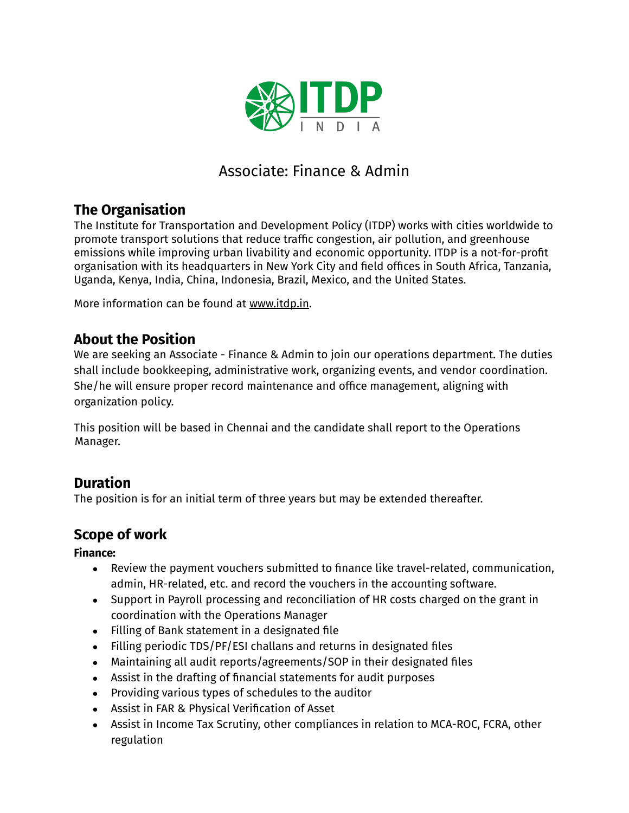

# Associate: Finance & Admin

# **The Organisation**

The Institute for Transportation and Development Policy (ITDP) works with cities worldwide to promote transport solutions that reduce traffic congestion, air pollution, and greenhouse emissions while improving urban livability and economic opportunity. ITDP is a not-for-profit organisation with its headquarters in New York City and field offices in South Africa, Tanzania, Uganda, Kenya, India, China, Indonesia, Brazil, Mexico, and the United States.

More information can be found at [www.itdp.in](http://www.itdp.in).

### **About the Position**

We are seeking an Associate - Finance & Admin to join our operations department. The duties shall include bookkeeping, administrative work, organizing events, and vendor coordination. She/he will ensure proper record maintenance and office management, aligning with organization policy.

This position will be based in Chennai and the candidate shall report to the Operations Manager.

### **Duration**

The position is for an initial term of three years but may be extended thereafter.

### **Scope of work**

**Finance:**

- Review the payment vouchers submitted to finance like travel-related, communication, admin, HR-related, etc. and record the vouchers in the accounting software.
- Support in Payroll processing and reconciliation of HR costs charged on the grant in coordination with the Operations Manager
- Filling of Bank statement in a designated file
- Filling periodic TDS/PF/ESI challans and returns in designated files
- Maintaining all audit reports/agreements/SOP in their designated files
- Assist in the drafting of financial statements for audit purposes
- Providing various types of schedules to the auditor
- Assist in FAR & Physical Verification of Asset
- Assist in Income Tax Scrutiny, other compliances in relation to MCA-ROC, FCRA, other regulation